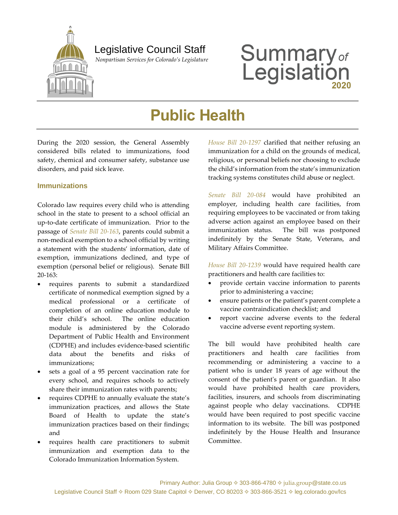

### Legislative Council Staff

 *Nonpartisan Services for Colorado's Legislature*

# **Summary**<sub>of</sub><br>Legislation

## **Public Health**

During the 2020 session, the General Assembly considered bills related to immunizations, food safety, chemical and consumer safety, substance use disorders, and paid sick leave.

#### **Immunizations**

Colorado law requires every child who is attending school in the state to present to a school official an up-to-date certificate of immunization. Prior to the passage of *[Senate Bill 20-163](http://leg.colorado.gov/bills/sb20-163)*, parents could submit a non-medical exemption to a school official by writing a statement with the students' information, date of exemption, immunizations declined, and type of exemption (personal belief or religious). Senate Bill 20-163:

- requires parents to submit a standardized certificate of nonmedical exemption signed by a medical professional or a certificate of completion of an online education module to their child's school. The online education module is administered by the Colorado Department of Public Health and Environment (CDPHE) and includes evidence-based scientific data about the benefits and risks of immunizations;
- sets a goal of a 95 percent vaccination rate for every school, and requires schools to actively share their immunization rates with parents;
- requires CDPHE to annually evaluate the state's immunization practices, and allows the State Board of Health to update the state's immunization practices based on their findings; and
- requires health care practitioners to submit immunization and exemption data to the Colorado Immunization Information System.

*[House Bill 20-1297](https://leg.colorado.gov/bills/hb20-1297)* clarified that neither refusing an immunization for a child on the grounds of medical, religious, or personal beliefs nor choosing to exclude the child's information from the state's immunization tracking systems constitutes child abuse or neglect.

*[Senate Bill 20-084](http://leg.colorado.gov/bills/sb20-084)* would have prohibited an employer, including health care facilities, from requiring employees to be vaccinated or from taking adverse action against an employee based on their immunization status. The bill was postponed indefinitely by the Senate State, Veterans, and Military Affairs Committee.

*[House Bill](http://leg.colorado.gov/bills/hb20-1239) 20-1239* would have required health care practitioners and health care facilities to:

- provide certain vaccine information to parents prior to administering a vaccine;
- ensure patients or the patient's parent complete a vaccine contraindication checklist; and
- report vaccine adverse events to the federal vaccine adverse event reporting system.

The bill would have prohibited health care practitioners and health care facilities from recommending or administering a vaccine to a patient who is under 18 years of age without the consent of the patient's parent or guardian. It also would have prohibited health care providers, facilities, insurers, and schools from discriminating against people who delay vaccinations. CDPHE would have been required to post specific vaccine information to its website. The bill was postponed indefinitely by the House Health and Insurance Committee.